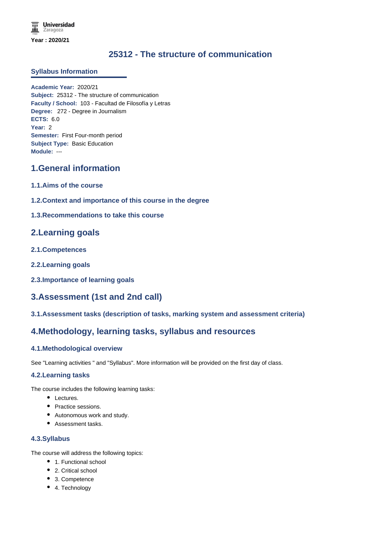# **25312 - The structure of communication**

#### **Syllabus Information**

**Academic Year:** 2020/21 **Subject:** 25312 - The structure of communication **Faculty / School:** 103 - Facultad de Filosofía y Letras **Degree:** 272 - Degree in Journalism **ECTS:** 6.0 **Year:** 2 **Semester:** First Four-month period **Subject Type:** Basic Education **Module:** ---

# **1.General information**

- **1.1.Aims of the course**
- **1.2.Context and importance of this course in the degree**
- **1.3.Recommendations to take this course**

## **2.Learning goals**

- **2.1.Competences**
- **2.2.Learning goals**
- **2.3.Importance of learning goals**

## **3.Assessment (1st and 2nd call)**

**3.1.Assessment tasks (description of tasks, marking system and assessment criteria)**

## **4.Methodology, learning tasks, syllabus and resources**

#### **4.1.Methodological overview**

See "Learning activities " and "Syllabus". More information will be provided on the first day of class.

#### **4.2.Learning tasks**

The course includes the following learning tasks:

- Lectures.
- Practice sessions.
- Autonomous work and study.
- Assessment tasks.

#### **4.3.Syllabus**

The course will address the following topics:

- 1. Functional school
- 2. Critical school
- 3. Competence
- 4. Technology